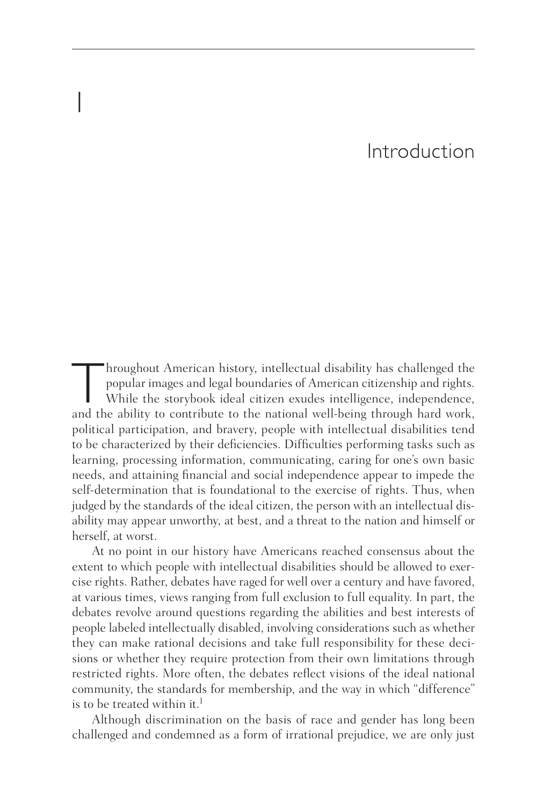# Introduction

Throughout American history, intellectual disability has challenged the popular images and legal boundaries of American citizenship and rights.<br>While the storybook ideal citizen exudes intelligence, independence, and the a popular images and legal boundaries of American citizenship and rights. and the ability to contribute to the national well-being through hard work, political participation, and bravery, people with intellectual disabilities tend to be characterized by their deficiencies. Difficulties performing tasks such as learning, processing information, communicating, caring for one's own basic needs, and attaining financial and social independence appear to impede the self-determination that is foundational to the exercise of rights. Thus, when judged by the standards of the ideal citizen, the person with an intellectual disability may appear unworthy, at best, and a threat to the nation and himself or herself, at worst.

1

At no point in our history have Americans reached consensus about the extent to which people with intellectual disabilities should be allowed to exercise rights. Rather, debates have raged for well over a century and have favored, at various times, views ranging from full exclusion to full equality. In part, the debates revolve around questions regarding the abilities and best interests of people labeled intellectually disabled, involving considerations such as whether they can make rational decisions and take full responsibility for these decisions or whether they require protection from their own limitations through restricted rights. More often, the debates reflect visions of the ideal national community, the standards for membership, and the way in which "difference" is to be treated within it.<sup>1</sup>

Although discrimination on the basis of race and gender has long been challenged and condemned as a form of irrational prejudice, we are only just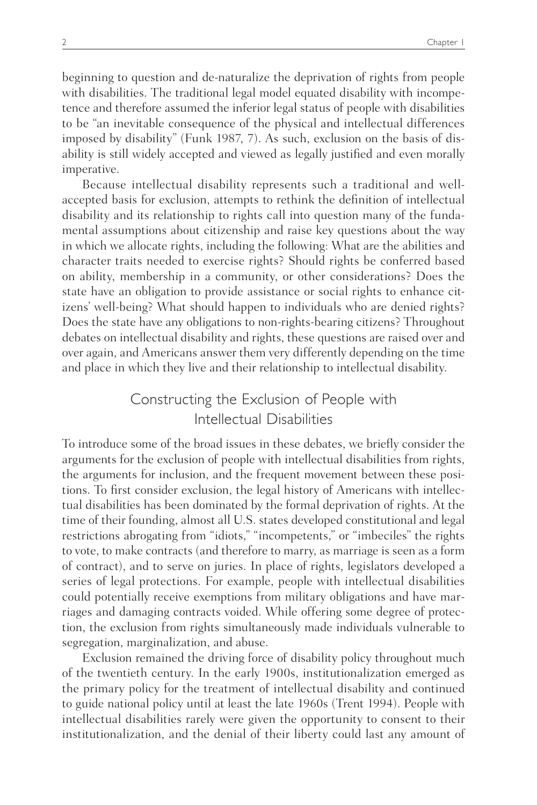beginning to question and de-naturalize the deprivation of rights from people with disabilities. The traditional legal model equated disability with incompetence and therefore assumed the inferior legal status of people with disabilities to be "an inevitable consequence of the physical and intellectual differences imposed by disability" (Funk 1987, 7). As such, exclusion on the basis of disability is still widely accepted and viewed as legally justified and even morally imperative.

Because intellectual disability represents such a traditional and wellaccepted basis for exclusion, attempts to rethink the definition of intellectual disability and its relationship to rights call into question many of the fundamental assumptions about citizenship and raise key questions about the way in which we allocate rights, including the following: What are the abilities and character traits needed to exercise rights? Should rights be conferred based on ability, membership in a community, or other considerations? Does the state have an obligation to provide assistance or social rights to enhance citizens' well-being? What should happen to individuals who are denied rights? Does the state have any obligations to non-rights-bearing citizens? Throughout debates on intellectual disability and rights, these questions are raised over and over again, and Americans answer them very differently depending on the time and place in which they live and their relationship to intellectual disability.

### Constructing the Exclusion of People with Intellectual Disabilities

To introduce some of the broad issues in these debates, we briefly consider the arguments for the exclusion of people with intellectual disabilities from rights, the arguments for inclusion, and the frequent movement between these positions. To first consider exclusion, the legal history of Americans with intellectual disabilities has been dominated by the formal deprivation of rights. At the time of their founding, almost all U.S. states developed constitutional and legal restrictions abrogating from "idiots," "incompetents," or "imbeciles" the rights to vote, to make contracts (and therefore to marry, as marriage is seen as a form of contract), and to serve on juries. In place of rights, legislators developed a series of legal protections. For example, people with intellectual disabilities could potentially receive exemptions from military obligations and have marriages and damaging contracts voided. While offering some degree of protection, the exclusion from rights simultaneously made individuals vulnerable to segregation, marginalization, and abuse.

 Exclusion remained the driving force of disability policy throughout much of the twentieth century. In the early 1900s, institutionalization emerged as the primary policy for the treatment of intellectual disability and continued to guide national policy until at least the late 1960s (Trent 1994). People with intellectual disabilities rarely were given the opportunity to consent to their institutionalization, and the denial of their liberty could last any amount of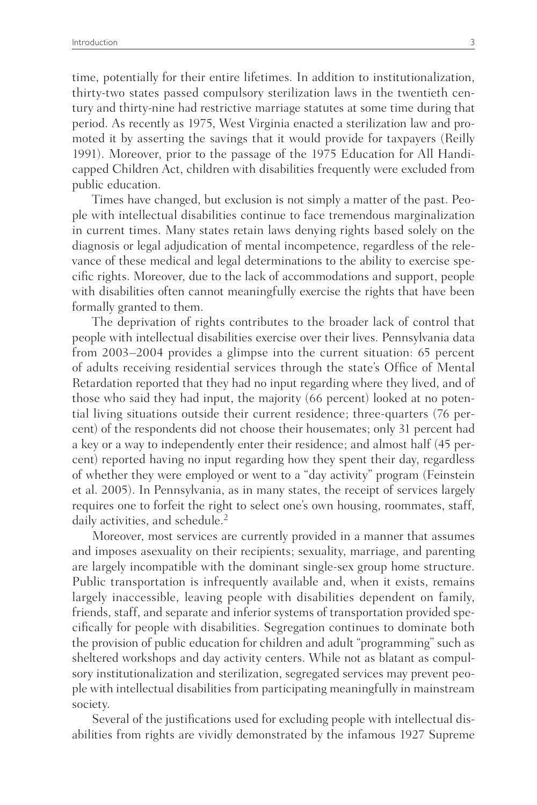time, potentially for their entire lifetimes. In addition to institutionalization, thirty-two states passed compulsory sterilization laws in the twentieth century and thirty-nine had restrictive marriage statutes at some time during that period. As recently as 1975, West Virginia enacted a sterilization law and promoted it by asserting the savings that it would provide for taxpayers (Reilly 1991). Moreover, prior to the passage of the 1975 Education for All Handicapped Children Act, children with disabilities frequently were excluded from public education.

 Times have changed, but exclusion is not simply a matter of the past. People with intellectual disabilities continue to face tremendous marginalization in current times. Many states retain laws denying rights based solely on the diagnosis or legal adjudication of mental incompetence, regardless of the relevance of these medical and legal determinations to the ability to exercise specific rights. Moreover, due to the lack of accommodations and support, people with disabilities often cannot meaningfully exercise the rights that have been formally granted to them.

 The deprivation of rights contributes to the broader lack of control that people with intellectual disabilities exercise over their lives. Pennsylvania data from 2003–2004 provides a glimpse into the current situation: 65 percent of adults receiving residential services through the state's Office of Mental Retardation reported that they had no input regarding where they lived, and of those who said they had input, the majority (66 percent) looked at no potential living situations outside their current residence; three-quarters (76 percent) of the respondents did not choose their housemates; only 31 percent had a key or a way to independently enter their residence; and almost half (45 percent) reported having no input regarding how they spent their day, regardless of whether they were employed or went to a "day activity" program (Feinstein et al. 2005). In Pennsylvania, as in many states, the receipt of services largely requires one to forfeit the right to select one's own housing, roommates, staff, daily activities, and schedule.<sup>2</sup>

 Moreover, most services are currently provided in a manner that assumes and imposes asexuality on their recipients; sexuality, marriage, and parenting are largely incompatible with the dominant single-sex group home structure. Public transportation is infrequently available and, when it exists, remains largely inaccessible, leaving people with disabilities dependent on family, friends, staff, and separate and inferior systems of transportation provided specifically for people with disabilities. Segregation continues to dominate both the provision of public education for children and adult "programming" such as sheltered workshops and day activity centers. While not as blatant as compulsory institutionalization and sterilization, segregated services may prevent people with intellectual disabilities from participating meaningfully in mainstream society.

 Several of the justifications used for excluding people with intellectual disabilities from rights are vividly demonstrated by the infamous 1927 Supreme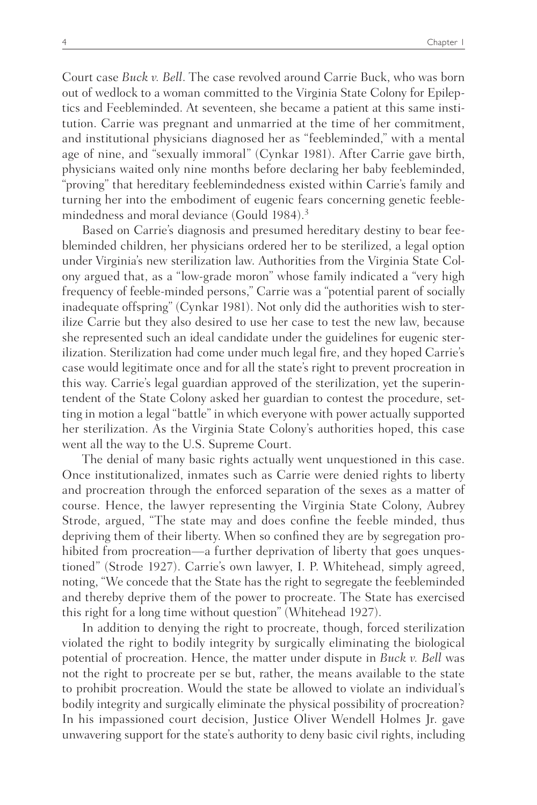Court case *Buck v. Bell*. The case revolved around Carrie Buck, who was born out of wedlock to a woman committed to the Virginia State Colony for Epileptics and Feebleminded. At seventeen, she became a patient at this same institution. Carrie was pregnant and unmarried at the time of her commitment, and institutional physicians diagnosed her as "feebleminded," with a mental age of nine, and "sexually immoral" (Cynkar 1981). After Carrie gave birth, physicians waited only nine months before declaring her baby feebleminded, "proving" that hereditary feeblemindedness existed within Carrie's family and turning her into the embodiment of eugenic fears concerning genetic feeblemindedness and moral deviance (Gould 1984).<sup>3</sup>

Based on Carrie's diagnosis and presumed hereditary destiny to bear feebleminded children, her physicians ordered her to be sterilized, a legal option under Virginia's new sterilization law. Authorities from the Virginia State Colony argued that, as a "low-grade moron" whose family indicated a "very high frequency of feeble-minded persons," Carrie was a "potential parent of socially inadequate offspring" (Cynkar 1981). Not only did the authorities wish to sterilize Carrie but they also desired to use her case to test the new law, because she represented such an ideal candidate under the guidelines for eugenic sterilization. Sterilization had come under much legal fire, and they hoped Carrie's case would legitimate once and for all the state's right to prevent procreation in this way. Carrie's legal guardian approved of the sterilization, yet the superintendent of the State Colony asked her guardian to contest the procedure, setting in motion a legal "battle" in which everyone with power actually supported her sterilization. As the Virginia State Colony's authorities hoped, this case went all the way to the U.S. Supreme Court.

 The denial of many basic rights actually went unquestioned in this case. Once institutionalized, inmates such as Carrie were denied rights to liberty and procreation through the enforced separation of the sexes as a matter of course. Hence, the lawyer representing the Virginia State Colony, Aubrey Strode, argued, "The state may and does confine the feeble minded, thus depriving them of their liberty. When so confined they are by segregation prohibited from procreation—a further deprivation of liberty that goes unquestioned" (Strode 1927). Carrie's own lawyer, I. P. Whitehead, simply agreed, noting, "We concede that the State has the right to segregate the feebleminded and thereby deprive them of the power to procreate. The State has exercised this right for a long time without question" (Whitehead 1927).

 In addition to denying the right to procreate, though, forced sterilization violated the right to bodily integrity by surgically eliminating the biological potential of procreation. Hence, the matter under dispute in *Buck v. Bell* was not the right to procreate per se but, rather, the means available to the state to prohibit procreation. Would the state be allowed to violate an individual's bodily integrity and surgically eliminate the physical possibility of procreation? In his impassioned court decision, Justice Oliver Wendell Holmes Jr. gave unwavering support for the state's authority to deny basic civil rights, including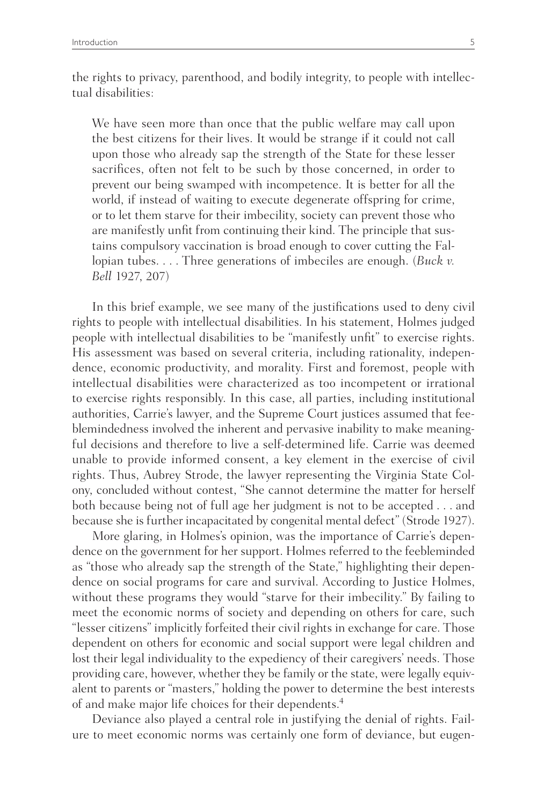the rights to privacy, parenthood, and bodily integrity, to people with intellectual disabilities:

We have seen more than once that the public welfare may call upon the best citizens for their lives. It would be strange if it could not call upon those who already sap the strength of the State for these lesser sacrifices, often not felt to be such by those concerned, in order to prevent our being swamped with incompetence. It is better for all the world, if instead of waiting to execute degenerate offspring for crime, or to let them starve for their imbecility, society can prevent those who are manifestly unfit from continuing their kind. The principle that sustains compulsory vaccination is broad enough to cover cutting the Fallopian tubes. . . . Three generations of imbeciles are enough. (*Buck v*. *Bell* 1927, 207)

 In this brief example, we see many of the justifications used to deny civil rights to people with intellectual disabilities. In his statement, Holmes judged people with intellectual disabilities to be "manifestly unfit" to exercise rights. His assessment was based on several criteria, including rationality, independence, economic productivity, and morality. First and foremost, people with intellectual disabilities were characterized as too incompetent or irrational to exercise rights responsibly. In this case, all parties, including institutional authorities, Carrie's lawyer, and the Supreme Court justices assumed that feeblemindedness involved the inherent and pervasive inability to make meaningful decisions and therefore to live a self-determined life. Carrie was deemed unable to provide informed consent, a key element in the exercise of civil rights. Thus, Aubrey Strode, the lawyer representing the Virginia State Colony, concluded without contest, "She cannot determine the matter for herself both because being not of full age her judgment is not to be accepted . . . and because she is further incapacitated by congenital mental defect" (Strode 1927).

 More glaring, in Holmes's opinion, was the importance of Carrie's dependence on the government for her support. Holmes referred to the feebleminded as "those who already sap the strength of the State," highlighting their dependence on social programs for care and survival. According to Justice Holmes, without these programs they would "starve for their imbecility." By failing to meet the economic norms of society and depending on others for care, such "lesser citizens" implicitly forfeited their civil rights in exchange for care. Those dependent on others for economic and social support were legal children and lost their legal individuality to the expediency of their caregivers' needs. Those providing care, however, whether they be family or the state, were legally equivalent to parents or "masters," holding the power to determine the best interests of and make major life choices for their dependents.4

Deviance also played a central role in justifying the denial of rights. Failure to meet economic norms was certainly one form of deviance, but eugen-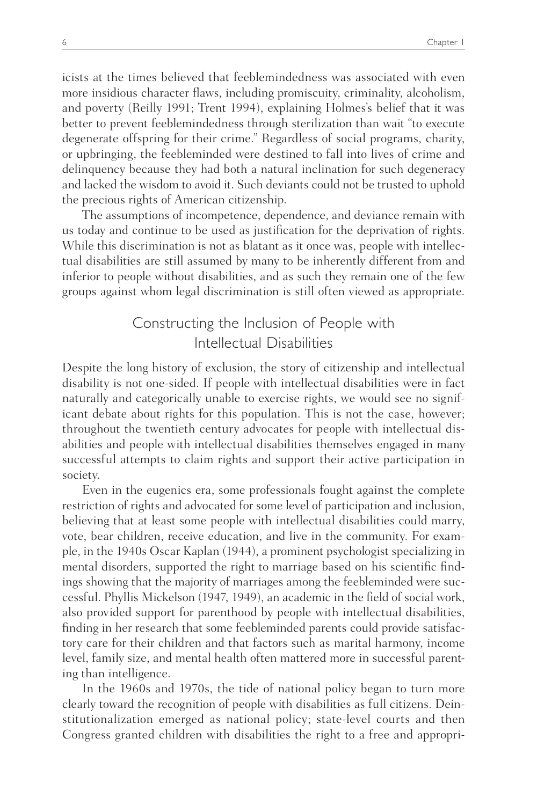icists at the times believed that feeblemindedness was associated with even more insidious character flaws, including promiscuity, criminality, alcoholism, and poverty (Reilly 1991; Trent 1994), explaining Holmes's belief that it was better to prevent feeblemindedness through sterilization than wait "to execute degenerate offspring for their crime." Regardless of social programs, charity, or upbringing, the feebleminded were destined to fall into lives of crime and delinquency because they had both a natural inclination for such degeneracy and lacked the wisdom to avoid it. Such deviants could not be trusted to uphold the precious rights of American citizenship.

 The assumptions of incompetence, dependence, and deviance remain with us today and continue to be used as justification for the deprivation of rights. While this discrimination is not as blatant as it once was, people with intellectual disabilities are still assumed by many to be inherently different from and inferior to people without disabilities, and as such they remain one of the few groups against whom legal discrimination is still often viewed as appropriate.

## Constructing the Inclusion of People with Intellectual Disabilities

Despite the long history of exclusion, the story of citizenship and intellectual disability is not one-sided. If people with intellectual disabilities were in fact naturally and categorically unable to exercise rights, we would see no significant debate about rights for this population. This is not the case, however; throughout the twentieth century advocates for people with intellectual disabilities and people with intellectual disabilities themselves engaged in many successful attempts to claim rights and support their active participation in society.

 Even in the eugenics era, some professionals fought against the complete restriction of rights and advocated for some level of participation and inclusion, believing that at least some people with intellectual disabilities could marry, vote, bear children, receive education, and live in the community. For example, in the 1940s Oscar Kaplan (1944), a prominent psychologist specializing in mental disorders, supported the right to marriage based on his scientific findings showing that the majority of marriages among the feebleminded were successful. Phyllis Mickelson (1947, 1949), an academic in the field of social work, also provided support for parenthood by people with intellectual disabilities, finding in her research that some feebleminded parents could provide satisfactory care for their children and that factors such as marital harmony, income level, family size, and mental health often mattered more in successful parenting than intelligence.

 In the 1960s and 1970s, the tide of national policy began to turn more clearly toward the recognition of people with disabilities as full citizens. Deinstitutionalization emerged as national policy; state-level courts and then Congress granted children with disabilities the right to a free and appropri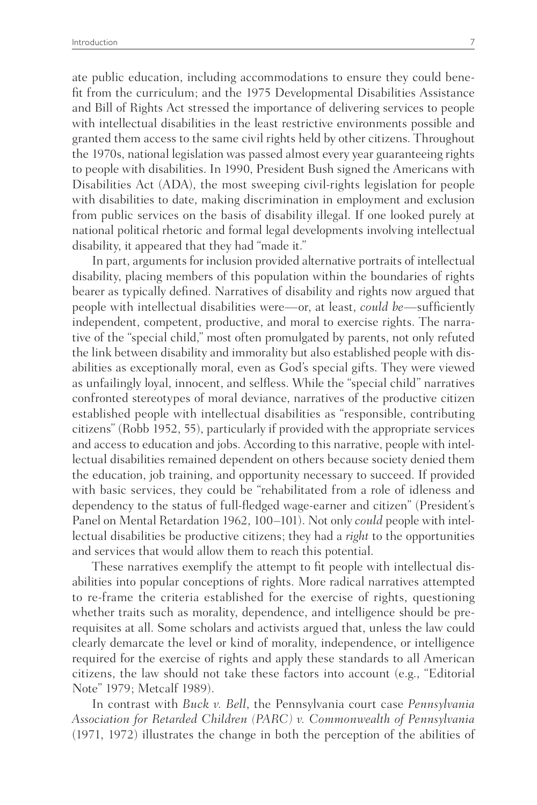ate public education, including accommodations to ensure they could benefit from the curriculum; and the 1975 Developmental Disabilities Assistance and Bill of Rights Act stressed the importance of delivering services to people with intellectual disabilities in the least restrictive environments possible and granted them access to the same civil rights held by other citizens. Throughout the 1970s, national legislation was passed almost every year guaranteeing rights to people with disabilities. In 1990, President Bush signed the Americans with Disabilities Act (ADA), the most sweeping civil-rights legislation for people with disabilities to date, making discrimination in employment and exclusion from public services on the basis of disability illegal. If one looked purely at national political rhetoric and formal legal developments involving intellectual disability, it appeared that they had "made it."

 In part, arguments for inclusion provided alternative portraits of intellectual disability, placing members of this population within the boundaries of rights bearer as typically defined. Narratives of disability and rights now argued that people with intellectual disabilities were—or, at least, *could be*—sufficiently independent, competent, productive, and moral to exercise rights. The narrative of the "special child," most often promulgated by parents, not only refuted the link between disability and immorality but also established people with disabilities as exceptionally moral, even as God's special gifts. They were viewed as unfailingly loyal, innocent, and selfless. While the "special child" narratives confronted stereotypes of moral deviance, narratives of the productive citizen established people with intellectual disabilities as "responsible, contributing citizens" (Robb 1952, 55), particularly if provided with the appropriate services and access to education and jobs. According to this narrative, people with intellectual disabilities remained dependent on others because society denied them the education, job training, and opportunity necessary to succeed. If provided with basic services, they could be "rehabilitated from a role of idleness and dependency to the status of full-fledged wage-earner and citizen" (President's Panel on Mental Retardation 1962, 100–101). Not only *could* people with intellectual disabilities be productive citizens; they had a *right* to the opportunities and services that would allow them to reach this potential.

 These narratives exemplify the attempt to fit people with intellectual disabilities into popular conceptions of rights. More radical narratives attempted to re-frame the criteria established for the exercise of rights, questioning whether traits such as morality, dependence, and intelligence should be prerequisites at all. Some scholars and activists argued that, unless the law could clearly demarcate the level or kind of morality, independence, or intelligence required for the exercise of rights and apply these standards to all American citizens, the law should not take these factors into account (e.g., "Editorial Note" 1979; Metcalf 1989).

 In contrast with *Buck v. Bell*, the Pennsylvania court case *Pennsylvania Association for Retarded Children (PARC) v. Commonwealth of Pennsylvania* (1971, 1972) illustrates the change in both the perception of the abilities of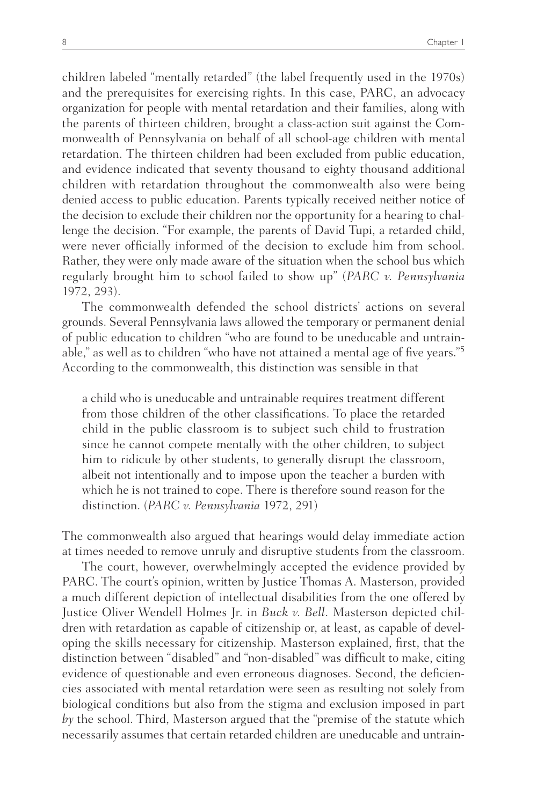children labeled "mentally retarded" (the label frequently used in the 1970s) and the prerequisites for exercising rights. In this case, PARC, an advocacy organization for people with mental retardation and their families, along with the parents of thirteen children, brought a class-action suit against the Commonwealth of Pennsylvania on behalf of all school-age children with mental retardation. The thirteen children had been excluded from public education, and evidence indicated that seventy thousand to eighty thousand additional children with retardation throughout the commonwealth also were being denied access to public education. Parents typically received neither notice of the decision to exclude their children nor the opportunity for a hearing to challenge the decision. "For example, the parents of David Tupi, a retarded child, were never officially informed of the decision to exclude him from school. Rather, they were only made aware of the situation when the school bus which regularly brought him to school failed to show up" (*PARC v. Pennsylvania* 1972, 293).

 The commonwealth defended the school districts' actions on several grounds. Several Pennsylvania laws allowed the temporary or permanent denial of public education to children "who are found to be uneducable and untrainable," as well as to children "who have not attained a mental age of five years."<sup>5</sup> According to the commonwealth, this distinction was sensible in that

a child who is uneducable and untrainable requires treatment different from those children of the other classifications. To place the retarded child in the public classroom is to subject such child to frustration since he cannot compete mentally with the other children, to subject him to ridicule by other students, to generally disrupt the classroom, albeit not intentionally and to impose upon the teacher a burden with which he is not trained to cope. There is therefore sound reason for the distinction. (*PARC v. Pennsylvania* 1972, 291)

The commonwealth also argued that hearings would delay immediate action at times needed to remove unruly and disruptive students from the classroom.

 The court, however, overwhelmingly accepted the evidence provided by PARC. The court's opinion, written by Justice Thomas A. Masterson, provided a much different depiction of intellectual disabilities from the one offered by Justice Oliver Wendell Holmes Jr. in *Buck v. Bell*. Masterson depicted children with retardation as capable of citizenship or, at least, as capable of developing the skills necessary for citizenship. Masterson explained, first, that the distinction between "disabled" and "non-disabled" was difficult to make, citing evidence of questionable and even erroneous diagnoses. Second, the deficiencies associated with mental retardation were seen as resulting not solely from biological conditions but also from the stigma and exclusion imposed in part *by* the school. Third, Masterson argued that the "premise of the statute which necessarily assumes that certain retarded children are uneducable and untrain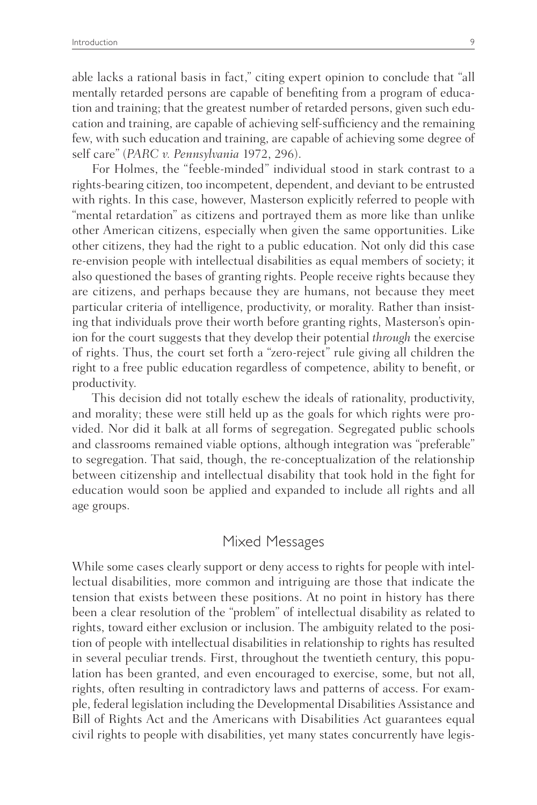able lacks a rational basis in fact," citing expert opinion to conclude that "all mentally retarded persons are capable of benefiting from a program of education and training; that the greatest number of retarded persons, given such education and training, are capable of achieving self-sufficiency and the remaining few, with such education and training, are capable of achieving some degree of self care" (*PARC v. Pennsylvania* 1972, 296).

For Holmes, the "feeble-minded" individual stood in stark contrast to a rights-bearing citizen, too incompetent, dependent, and deviant to be entrusted with rights. In this case, however, Masterson explicitly referred to people with "mental retardation" as citizens and portrayed them as more like than unlike other American citizens, especially when given the same opportunities. Like other citizens, they had the right to a public education. Not only did this case re-envision people with intellectual disabilities as equal members of society; it also questioned the bases of granting rights. People receive rights because they are citizens, and perhaps because they are humans, not because they meet particular criteria of intelligence, productivity, or morality. Rather than insisting that individuals prove their worth before granting rights, Masterson's opinion for the court suggests that they develop their potential *through* the exercise of rights. Thus, the court set forth a "zero-reject" rule giving all children the right to a free public education regardless of competence, ability to benefit, or productivity.

 This decision did not totally eschew the ideals of rationality, productivity, and morality; these were still held up as the goals for which rights were provided. Nor did it balk at all forms of segregation. Segregated public schools and classrooms remained viable options, although integration was "preferable" to segregation. That said, though, the re-conceptualization of the relationship between citizenship and intellectual disability that took hold in the fight for education would soon be applied and expanded to include all rights and all age groups.

#### Mixed Messages

While some cases clearly support or deny access to rights for people with intellectual disabilities, more common and intriguing are those that indicate the tension that exists between these positions. At no point in history has there been a clear resolution of the "problem" of intellectual disability as related to rights, toward either exclusion or inclusion. The ambiguity related to the position of people with intellectual disabilities in relationship to rights has resulted in several peculiar trends. First, throughout the twentieth century, this population has been granted, and even encouraged to exercise, some, but not all, rights, often resulting in contradictory laws and patterns of access. For example, federal legislation including the Developmental Disabilities Assistance and Bill of Rights Act and the Americans with Disabilities Act guarantees equal civil rights to people with disabilities, yet many states concurrently have legis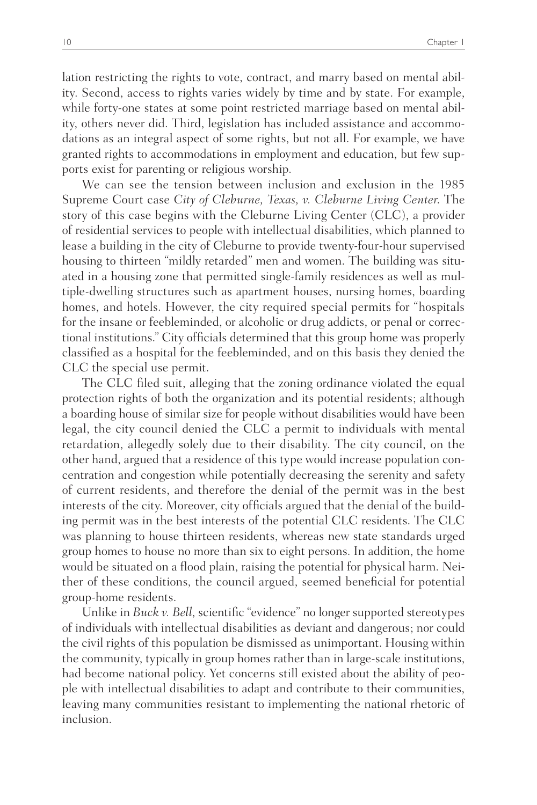lation restricting the rights to vote, contract, and marry based on mental ability. Second, access to rights varies widely by time and by state. For example, while forty-one states at some point restricted marriage based on mental ability, others never did. Third, legislation has included assistance and accommodations as an integral aspect of some rights, but not all. For example, we have granted rights to accommodations in employment and education, but few supports exist for parenting or religious worship.

We can see the tension between inclusion and exclusion in the 1985 Supreme Court case *City of Cleburne, Texas, v. Cleburne Living Center*. The story of this case begins with the Cleburne Living Center (CLC), a provider of residential services to people with intellectual disabilities, which planned to lease a building in the city of Cleburne to provide twenty-four-hour supervised housing to thirteen "mildly retarded" men and women. The building was situated in a housing zone that permitted single-family residences as well as multiple-dwelling structures such as apartment houses, nursing homes, boarding homes, and hotels. However, the city required special permits for "hospitals for the insane or feebleminded, or alcoholic or drug addicts, or penal or correctional institutions." City officials determined that this group home was properly classified as a hospital for the feebleminded, and on this basis they denied the CLC the special use permit.

 The CLC filed suit, alleging that the zoning ordinance violated the equal protection rights of both the organization and its potential residents; although a boarding house of similar size for people without disabilities would have been legal, the city council denied the CLC a permit to individuals with mental retardation, allegedly solely due to their disability. The city council, on the other hand, argued that a residence of this type would increase population concentration and congestion while potentially decreasing the serenity and safety of current residents, and therefore the denial of the permit was in the best interests of the city. Moreover, city officials argued that the denial of the building permit was in the best interests of the potential CLC residents. The CLC was planning to house thirteen residents, whereas new state standards urged group homes to house no more than six to eight persons. In addition, the home would be situated on a flood plain, raising the potential for physical harm. Neither of these conditions, the council argued, seemed beneficial for potential group-home residents.

 Unlike in *Buck v. Bell*, scientific "evidence" no longer supported stereotypes of individuals with intellectual disabilities as deviant and dangerous; nor could the civil rights of this population be dismissed as unimportant. Housing within the community, typically in group homes rather than in large-scale institutions, had become national policy. Yet concerns still existed about the ability of people with intellectual disabilities to adapt and contribute to their communities, leaving many communities resistant to implementing the national rhetoric of inclusion.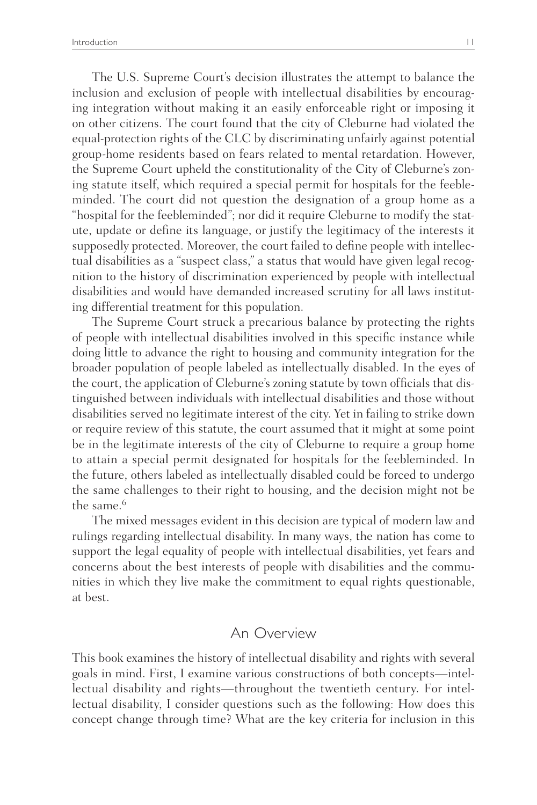The U.S. Supreme Court's decision illustrates the attempt to balance the inclusion and exclusion of people with intellectual disabilities by encouraging integration without making it an easily enforceable right or imposing it on other citizens. The court found that the city of Cleburne had violated the equal-protection rights of the CLC by discriminating unfairly against potential group-home residents based on fears related to mental retardation. However, the Supreme Court upheld the constitutionality of the City of Cleburne's zoning statute itself, which required a special permit for hospitals for the feebleminded. The court did not question the designation of a group home as a "hospital for the feebleminded"; nor did it require Cleburne to modify the statute, update or define its language, or justify the legitimacy of the interests it supposedly protected. Moreover, the court failed to define people with intellectual disabilities as a "suspect class," a status that would have given legal recognition to the history of discrimination experienced by people with intellectual disabilities and would have demanded increased scrutiny for all laws instituting differential treatment for this population.

 The Supreme Court struck a precarious balance by protecting the rights of people with intellectual disabilities involved in this specific instance while doing little to advance the right to housing and community integration for the broader population of people labeled as intellectually disabled. In the eyes of the court, the application of Cleburne's zoning statute by town officials that distinguished between individuals with intellectual disabilities and those without disabilities served no legitimate interest of the city. Yet in failing to strike down or require review of this statute, the court assumed that it might at some point be in the legitimate interests of the city of Cleburne to require a group home to attain a special permit designated for hospitals for the feebleminded. In the future, others labeled as intellectually disabled could be forced to undergo the same challenges to their right to housing, and the decision might not be the same.<sup>6</sup>

 The mixed messages evident in this decision are typical of modern law and rulings regarding intellectual disability. In many ways, the nation has come to support the legal equality of people with intellectual disabilities, yet fears and concerns about the best interests of people with disabilities and the communities in which they live make the commitment to equal rights questionable, at best.

#### An Overview

This book examines the history of intellectual disability and rights with several goals in mind. First, I examine various constructions of both concepts—intellectual disability and rights—throughout the twentieth century. For intellectual disability, I consider questions such as the following: How does this concept change through time? What are the key criteria for inclusion in this